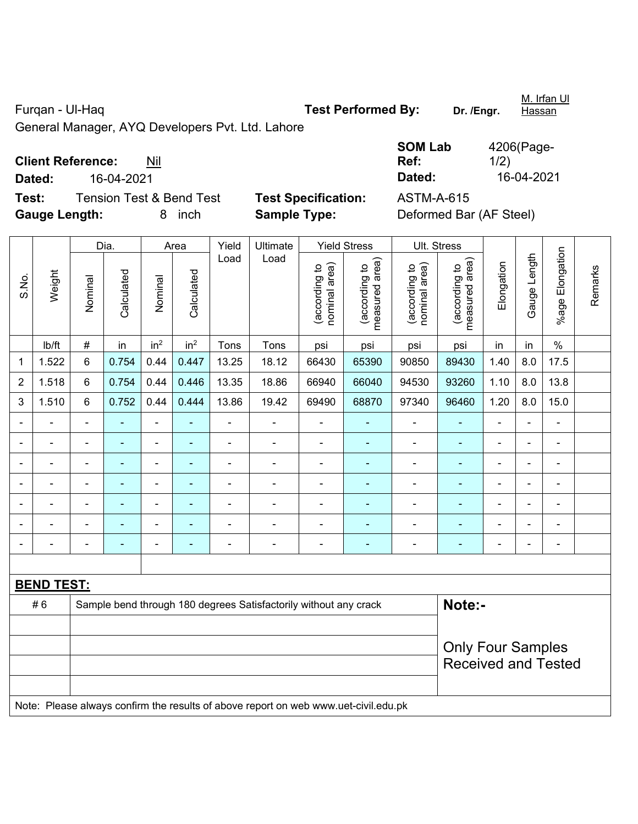Furqan - Ul-Haq **Test Performed By:** Dr. /Engr.

M. Irfan Ul **Hassan** 

General Manager, AYQ Developers Pvt. Ltd. Lahore

## **Client Reference:** Nil

**Test:** Tension Test & Bend Test **Test Specification:** ASTM-A-615 **Gauge Length:** 8 inch **Sample Type:** Deformed Bar (AF Steel)

**SOM Lab Ref:**  4206(Page-1/2) **Dated:** 16-04-2021 **Dated:** 16-04-2021

| S.No.          | Weight                                                                              | Dia.                                                             |                | Area                     |                 | Yield          | Ultimate       | <b>Yield Stress</b>            |                                 | Ult. Stress                    |                                 |                          |                |                 |         |  |  |
|----------------|-------------------------------------------------------------------------------------|------------------------------------------------------------------|----------------|--------------------------|-----------------|----------------|----------------|--------------------------------|---------------------------------|--------------------------------|---------------------------------|--------------------------|----------------|-----------------|---------|--|--|
|                |                                                                                     | Nominal                                                          | Calculated     | Nominal                  | Calculated      | Load           | Load           | (according to<br>nominal area) | measured area)<br>(according to | nominal area)<br>(according to | measured area)<br>(according to | Elongation               | Gauge Length   | %age Elongation | Remarks |  |  |
|                | lb/ft                                                                               | #                                                                | in             | in <sup>2</sup>          | in <sup>2</sup> | Tons           | Tons           | psi                            | psi                             | psi                            | psi                             | in                       | in             | $\%$            |         |  |  |
| 1              | 1.522                                                                               | 6                                                                | 0.754          | 0.44                     | 0.447           | 13.25          | 18.12          | 66430                          | 65390                           | 90850                          | 89430                           | 1.40                     | 8.0            | 17.5            |         |  |  |
| $\overline{2}$ | 1.518                                                                               | 6                                                                | 0.754          | 0.44                     | 0.446           | 13.35          | 18.86          | 66940                          | 66040                           | 94530                          | 93260                           | 1.10                     | 8.0            | 13.8            |         |  |  |
| 3              | 1.510                                                                               | 6                                                                | 0.752          | 0.44                     | 0.444           | 13.86          | 19.42          | 69490                          | 68870                           | 97340                          | 96460                           | 1.20                     | 8.0            | 15.0            |         |  |  |
|                |                                                                                     |                                                                  |                | ä,                       |                 | $\blacksquare$ | $\blacksquare$ |                                |                                 | $\blacksquare$                 | $\blacksquare$                  |                          |                | ä,              |         |  |  |
|                |                                                                                     |                                                                  |                | ä,                       |                 | $\blacksquare$ | ä,             |                                |                                 | ÷                              | Ē,                              |                          | $\blacksquare$ | ä,              |         |  |  |
| $\blacksquare$ | ä,                                                                                  | $\blacksquare$                                                   | ÷              | ÷,                       | ۰               | $\blacksquare$ | $\blacksquare$ | $\blacksquare$                 |                                 | $\blacksquare$                 | ٠                               | $\blacksquare$           | $\blacksquare$ | $\blacksquare$  |         |  |  |
|                | ä,                                                                                  | $\blacksquare$                                                   | $\blacksquare$ | $\overline{\phantom{0}}$ | ۰               | $\overline{a}$ | ÷              | $\blacksquare$                 | $\overline{\phantom{a}}$        | $\overline{\phantom{a}}$       | $\blacksquare$                  | $\blacksquare$           | $\overline{a}$ | $\blacksquare$  |         |  |  |
|                | ÷                                                                                   |                                                                  | ä,             | ۰                        |                 | ÷,             | ÷              | $\blacksquare$                 |                                 | $\overline{\phantom{a}}$       | $\blacksquare$                  | ÷                        | $\overline{a}$ | ä,              |         |  |  |
|                |                                                                                     |                                                                  |                | L.                       |                 |                | $\blacksquare$ |                                |                                 |                                | $\blacksquare$                  |                          |                | $\blacksquare$  |         |  |  |
|                |                                                                                     |                                                                  |                | ÷                        |                 | $\blacksquare$ | $\overline{a}$ | ٠                              | $\blacksquare$                  | ÷                              | ٠                               | $\blacksquare$           | $\blacksquare$ | $\blacksquare$  |         |  |  |
|                |                                                                                     |                                                                  |                |                          |                 |                |                |                                |                                 |                                |                                 |                          |                |                 |         |  |  |
|                | <b>BEND TEST:</b>                                                                   |                                                                  |                |                          |                 |                |                |                                |                                 |                                |                                 |                          |                |                 |         |  |  |
|                | #6                                                                                  | Sample bend through 180 degrees Satisfactorily without any crack |                |                          |                 |                |                |                                |                                 |                                | Note:-                          |                          |                |                 |         |  |  |
|                |                                                                                     |                                                                  |                |                          |                 |                |                |                                |                                 |                                |                                 |                          |                |                 |         |  |  |
|                |                                                                                     |                                                                  |                |                          |                 |                |                |                                |                                 |                                |                                 | <b>Only Four Samples</b> |                |                 |         |  |  |
|                |                                                                                     | <b>Received and Tested</b>                                       |                |                          |                 |                |                |                                |                                 |                                |                                 |                          |                |                 |         |  |  |
|                | Note: Please always confirm the results of above report on web www.uet-civil.edu.pk |                                                                  |                |                          |                 |                |                |                                |                                 |                                |                                 |                          |                |                 |         |  |  |